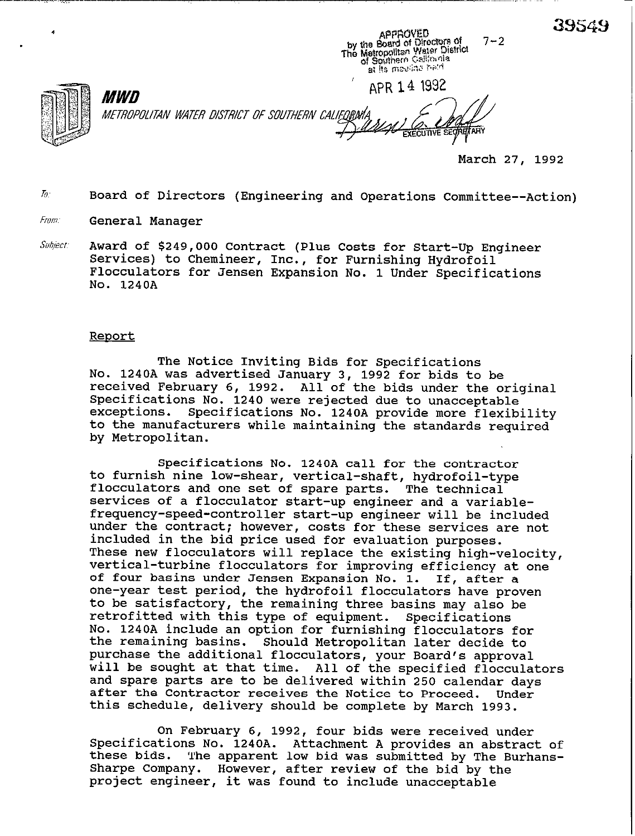39549



*MWD* METROPOLITAN WATER DISTRICT OF SOUTHERN CALIFORM

APR 14 1992 ARY

APPROVED<br>by the Board of Directors of<br>The Metropolitan Water District<br>of Spichern California<br>the massing peid

at its maving held

March 27, 1992

 $7 - 2$ 

To: Board of Directors (Engineering and Operations Committee--Action)

From: General Manager

Award of \$249,000 Contract (Plus Costs for Start-Up Engineer Subject: Services) to Chemineer, Inc., for Furnishing Hydrofoil Flocculators for Jensen Expansion No. 1 Under Specifications No. 1240A

### Report

The Notice Inviting Bids for Specifications No. 1240A was advertised January 3, 1992 for bids to be received February 6, 1992. All of the bids under the original Specifications No. 1240 were rejected due to unacceptable exceptions. Specifications No. 1240A provide more flexibility to the manufacturers while maintaining the standards required by Metropolitan.

Specifications No. 1240A call for the contractor to furnish nine low-shear, vertical-shaft, hydrofoil-type flocculators and one set of spare parts. The technical services of a flocculator start-up engineer and a variablefrequency-speed-controller start-up engineer will be included under the contract; however, costs for these services are not included in the bid price used for evaluation purposes. These new flocculators will replace the existing high-velocity, vertical-turbine flocculators for improving efficiency at one of four basins under Jensen Expansion No. 1. If, after a one-year test period, the hydrofoil flocculators have proven to be satisfactory, the remaining three basins may also be retrofitted with this type of equipment. Specifications retrofitted with this type of equipment. No. 1240A include an option for furnishing flocculators for the remaining basins. Should Metropolitan later decide to purchase the additional flocculators, your Board's approval will be sought at that time. All of the specified flocculators and spare parts are to be delivered within 250 calendar days after the Contractor receives the Notice to Proceed. Under this schedule, delivery should be complete by March 1993.

On February 6, 1992, four bids were received under Specifications No. 1240A. Attachment A provides an abstract of these bids. The apparent low bid was submitted by The Burhans-Sharpe Company. However, after review of the bid by the project engineer, it was found to include unacceptable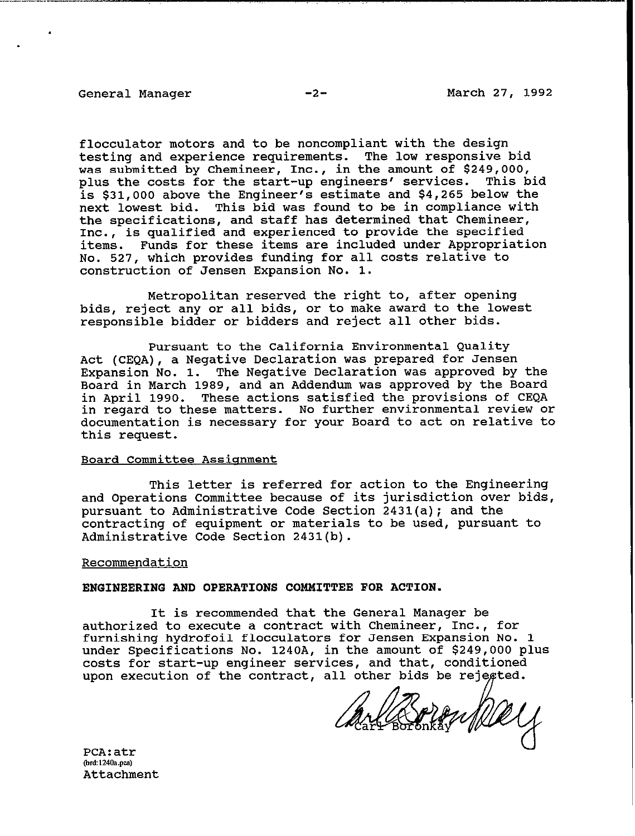flocculator motors and to be noncompliant with the design testing and experience requirements. The low responsive bid was submitted by Chemineer, Inc., in the amount of \$249,000, plus the costs for the start-up engineers' services. This bid is \$31,000 above the Engineer's estimate and \$4,265 below the next lowest bid. This bid was found to be in compliance with the specifications, and staff has determined that Chemineer, Inc., is qualified and experienced to provide the specified items. Funds for these items are included under Appropriation **NO.** 527, which provides funding for all costs relative to construction of Jensen Expansion No. 1.

Metropolitan reserved the right to, after opening bids, reject any or all bids, or to make award to the lowest responsible bidder or bidders and reject all other bids.

Pursuant to the California Environmental Quality Act (CEQA), a Negative Declaration was prepared for Jensen Expansion No. 1. The Negative Declaration was approved by the Board in March 1989, and an Addendum was approved by the Board in April 1990. These actions satisfied the provisions of CEQA in regard to these matters. No further environmental review or documentation is necessary for your Board to act on relative to this request.

### Board Committee Assianment

This letter is referred for action to the Engineering and Operations Committee because of its jurisdiction over bids, pursuant to Administrative Code Section 2431(a); and the contracting of equipment or materials to be used, pursuant to Administrative Code Section 2431(b).

#### Recommendation

#### ENGINEERING AND OPERATIONS COMMITTEE FOR ACTION.

It is recommended that the General Manager be authorized to execute a contract with Chemineer, Inc., for furnishing hydrofoil flocculators for Jensen Expansion No. 1 under Specifications No. 1240A, in the amount of \$249,000 plus costs for start-up engineer services, and that, conditioned upon execution of the contract, all other bids be rejegted.

Charles Prent Well

PCA:atr (brd:1240a.pca) Attachment